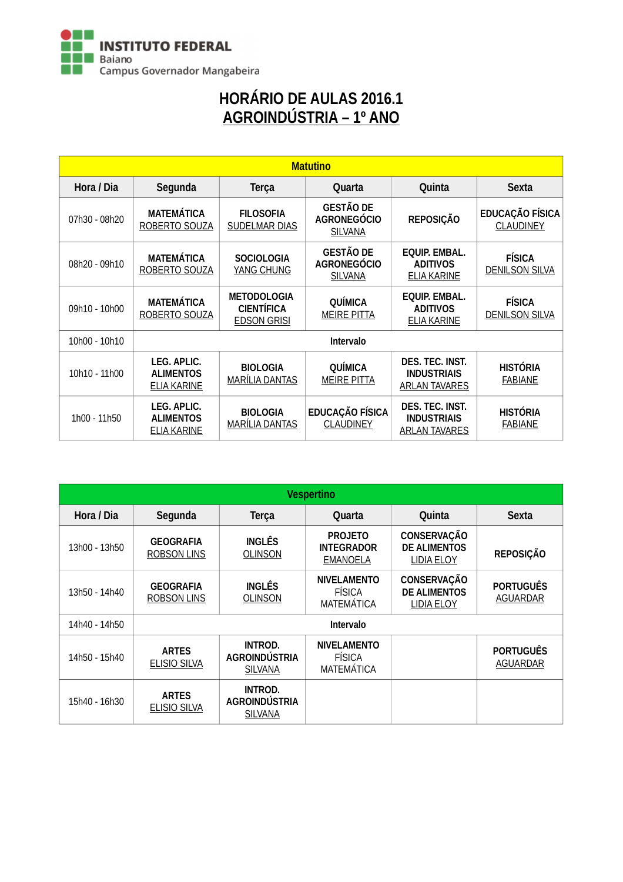

# HORÁRIO DE AULAS 2016.1 AGROINDÚSTRIA – 1º ANO

| <b>Matutino</b> |                                                       |                                                               |                                                          |                                                               |                                            |  |  |
|-----------------|-------------------------------------------------------|---------------------------------------------------------------|----------------------------------------------------------|---------------------------------------------------------------|--------------------------------------------|--|--|
| Hora / Dia      | Segunda                                               | <b>Terça</b>                                                  | Quarta                                                   | Quinta                                                        | <b>Sexta</b>                               |  |  |
| 07h30 - 08h20   | <b>MATEMÁTICA</b><br>ROBERTO SOUZA                    | <b>FILOSOFIA</b><br><b>SUDELMAR DIAS</b>                      | <b>GESTÃO DE</b><br><b>AGRONEGÓCIO</b><br><b>SILVANA</b> | <b>REPOSIÇÃO</b>                                              | <b>EDUCAÇÃO FÍSICA</b><br><b>CLAUDINEY</b> |  |  |
| 08h20 - 09h10   | <b>MATEMÁTICA</b><br>ROBERTO SOUZA                    | <b>SOCIOLOGIA</b><br>YANG CHUNG                               | <b>GESTÃO DE</b><br><b>AGRONEGÓCIO</b><br><b>SILVANA</b> | <b>EQUIP. EMBAL.</b><br><b>ADITIVOS</b><br><b>ELIA KARINE</b> | <b>FÍSICA</b><br><b>DENILSON SILVA</b>     |  |  |
| 09h10 - 10h00   | <b>MATEMÁTICA</b><br>ROBERTO SOUZA                    | <b>METODOLOGIA</b><br><b>CIENTÍFICA</b><br><b>EDSON GRISI</b> | QUÍMICA<br><b>MEIRE PITTA</b>                            | <b>EQUIP. EMBAL.</b><br><b>ADITIVOS</b><br><b>ELIA KARINE</b> | <b>FÍSICA</b><br><b>DENILSON SILVA</b>     |  |  |
| 10h00 - 10h10   |                                                       |                                                               | Intervalo                                                |                                                               |                                            |  |  |
| 10h10 - 11h00   | LEG. APLIC.<br><b>ALIMENTOS</b><br><b>ELIA KARINE</b> | <b>BIOLOGIA</b><br><b>MARÍLIA DANTAS</b>                      | <b>QUÍMICA</b><br><b>MEIRE PITTA</b>                     | DES. TEC. INST.<br><b>INDUSTRIAIS</b><br><b>ARLAN TAVARES</b> | <b>HISTÓRIA</b><br><b>FABIANE</b>          |  |  |
| 1h00 - 11h50    | LEG. APLIC.<br><b>ALIMENTOS</b><br><b>ELIA KARINE</b> | <b>BIOLOGIA</b><br><b>MARÍLIA DANTAS</b>                      | <b>EDUCAÇÃO FÍSICA</b><br><b>CLAUDINEY</b>               | DES. TEC. INST.<br><b>INDUSTRIAIS</b><br><b>ARLAN TAVARES</b> | <b>HISTÓRIA</b><br><b>FABIANE</b>          |  |  |

| <b>Vespertino</b> |                                        |                                                          |                                                          |                                                                |                                     |  |  |
|-------------------|----------------------------------------|----------------------------------------------------------|----------------------------------------------------------|----------------------------------------------------------------|-------------------------------------|--|--|
| Hora / Dia        | Segunda                                | <b>Terça</b>                                             | Quarta                                                   | Quinta                                                         | <b>Sexta</b>                        |  |  |
| 13h00 - 13h50     | <b>GEOGRAFIA</b><br><b>ROBSON LINS</b> | <b>INGLÊS</b><br><b>OLINSON</b>                          | <b>PROJETO</b><br><b>INTEGRADOR</b><br><b>EMANOELA</b>   | <b>CONSERVAÇÃO</b><br><b>DE ALIMENTOS</b><br><b>LIDIA ELOY</b> | <b>REPOSIÇÃO</b>                    |  |  |
| 13h50 - 14h40     | <b>GEOGRAFIA</b><br><b>ROBSON LINS</b> | <b>INGLÊS</b><br><b>OLINSON</b>                          | <b>NIVELAMENTO</b><br><b>FÍSICA</b><br><b>MATEMÁTICA</b> | <b>CONSERVAÇÃO</b><br><b>DE ALIMENTOS</b><br><b>LIDIA ELOY</b> | <b>PORTUGUÊS</b><br><b>AGUARDAR</b> |  |  |
| 14h40 - 14h50     |                                        |                                                          | Intervalo                                                |                                                                |                                     |  |  |
| 14h50 - 15h40     | <b>ARTES</b><br><b>ELISIO SILVA</b>    | <b>INTROD.</b><br><b>AGROINDÚSTRIA</b><br><b>SILVANA</b> | <b>NIVELAMENTO</b><br><b>FÍSICA</b><br><b>MATEMÁTICA</b> |                                                                | <b>PORTUGUÊS</b><br><b>AGUARDAR</b> |  |  |
| 15h40 - 16h30     | <b>ARTES</b><br><b>ELISIO SILVA</b>    | <b>INTROD.</b><br><b>AGROINDÚSTRIA</b><br><b>SILVANA</b> |                                                          |                                                                |                                     |  |  |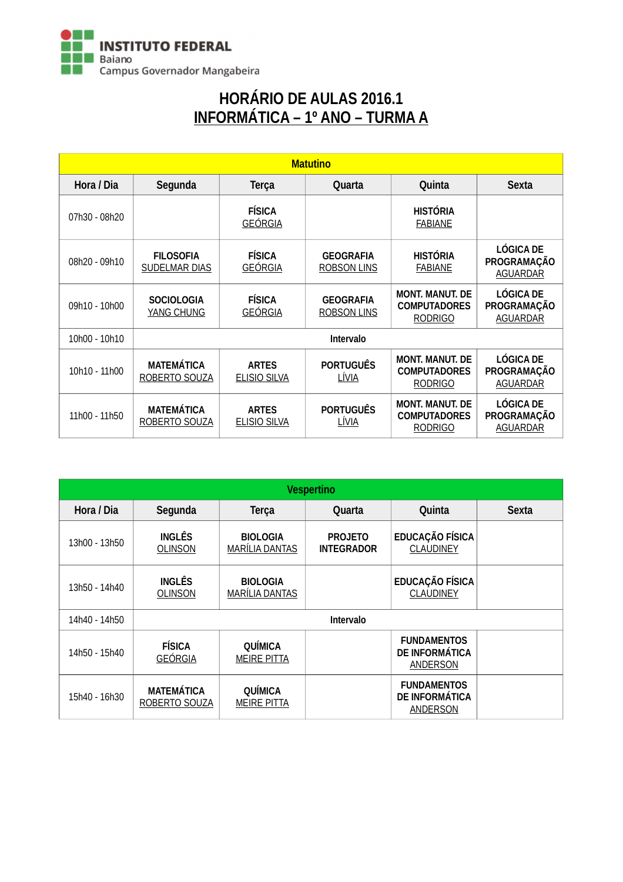

# HORÁRIO DE AULAS 2016.1 INFORMÁTICA – 1º ANO – TURMA A

| <b>Matutino</b> |                                           |                                     |                                  |                                                                 |                                                           |  |  |
|-----------------|-------------------------------------------|-------------------------------------|----------------------------------|-----------------------------------------------------------------|-----------------------------------------------------------|--|--|
| Hora / Dia      | Segunda                                   | <b>Terça</b>                        | Quarta                           | Quinta                                                          | <b>Sexta</b>                                              |  |  |
| 07h30 - 08h20   |                                           | <b>FÍSICA</b><br><b>GEÓRGIA</b>     |                                  | <b>HISTÓRIA</b><br><b>FABIANE</b>                               |                                                           |  |  |
| 08h20 - 09h10   | <b>FILOSOFIA</b><br>SUDELMAR DIAS         | <b>FÍSICA</b><br><b>GEÓRGIA</b>     | <b>GEOGRAFIA</b><br>ROBSON LINS  | <b>HISTÓRIA</b><br><b>FABIANE</b>                               | <b>LÓGICA DE</b><br><b>PROGRAMAÇÃO</b><br><b>AGUARDAR</b> |  |  |
| 09h10 - 10h00   | <b>SOCIOLOGIA</b><br>YANG CHUNG           | <b>FÍSICA</b><br><b>GEÓRGIA</b>     | <b>GEOGRAFIA</b><br>ROBSON LINS  | <b>MONT. MANUT. DE</b><br><b>COMPUTADORES</b><br><b>RODRIGO</b> | <b>LÓGICA DE</b><br><b>PROGRAMAÇÃO</b><br><b>AGUARDAR</b> |  |  |
| 10h00 - 10h10   |                                           |                                     | Intervalo                        |                                                                 |                                                           |  |  |
| 10h10 - 11h00   | <b>MATEMÁTICA</b><br><b>ROBERTO SOUZA</b> | <b>ARTES</b><br><b>ELISIO SILVA</b> | <b>PORTUGUÊS</b><br><u>LÍVIA</u> | <b>MONT. MANUT. DE</b><br><b>COMPUTADORES</b><br><b>RODRIGO</b> | <b>LÓGICA DE</b><br>PROGRAMAÇÃO<br><b>AGUARDAR</b>        |  |  |
| 11h00 - 11h50   | <b>MATEMÁTICA</b><br>ROBERTO SOUZA        | <b>ARTES</b><br><b>ELISIO SILVA</b> | <b>PORTUGUÊS</b><br><u>LÍVIA</u> | <b>MONT. MANUT. DE</b><br><b>COMPUTADORES</b><br><b>RODRIGO</b> | <b>LÓGICA DE</b><br>PROGRAMAÇÃO<br><b>AGUARDAR</b>        |  |  |

| <b>Vespertino</b> |                                    |                                   |                                     |                                                                |              |  |  |  |
|-------------------|------------------------------------|-----------------------------------|-------------------------------------|----------------------------------------------------------------|--------------|--|--|--|
| Hora / Dia        | Segunda                            | <b>Terça</b>                      | Quarta                              | Quinta                                                         | <b>Sexta</b> |  |  |  |
| 13h00 - 13h50     | <b>INGLÊS</b><br><b>OLINSON</b>    | <b>BIOLOGIA</b><br>MARÍLIA DANTAS | <b>PROJETO</b><br><b>INTEGRADOR</b> | <b>EDUCAÇÃO FÍSICA</b><br><b>CLAUDINEY</b>                     |              |  |  |  |
| 13h50 - 14h40     | <b>INGLÊS</b><br><b>OLINSON</b>    | <b>BIOLOGIA</b><br>MARÍLIA DANTAS |                                     | <b>EDUCAÇÃO FÍSICA</b><br><b>CLAUDINEY</b>                     |              |  |  |  |
| 14h40 - 14h50     |                                    |                                   | Intervalo                           |                                                                |              |  |  |  |
| 14h50 - 15h40     | <b>FÍSICA</b><br><b>GEÓRGIA</b>    | QUÍMICA<br><b>MEIRE PITTA</b>     |                                     | <b>FUNDAMENTOS</b><br><b>DE INFORMÁTICA</b><br><b>ANDERSON</b> |              |  |  |  |
| 15h40 - 16h30     | <b>MATEMÁTICA</b><br>ROBERTO SOUZA | QUÍMICA<br><b>MEIRE PITTA</b>     |                                     | <b>FUNDAMENTOS</b><br><b>DE INFORMÁTICA</b><br><b>ANDERSON</b> |              |  |  |  |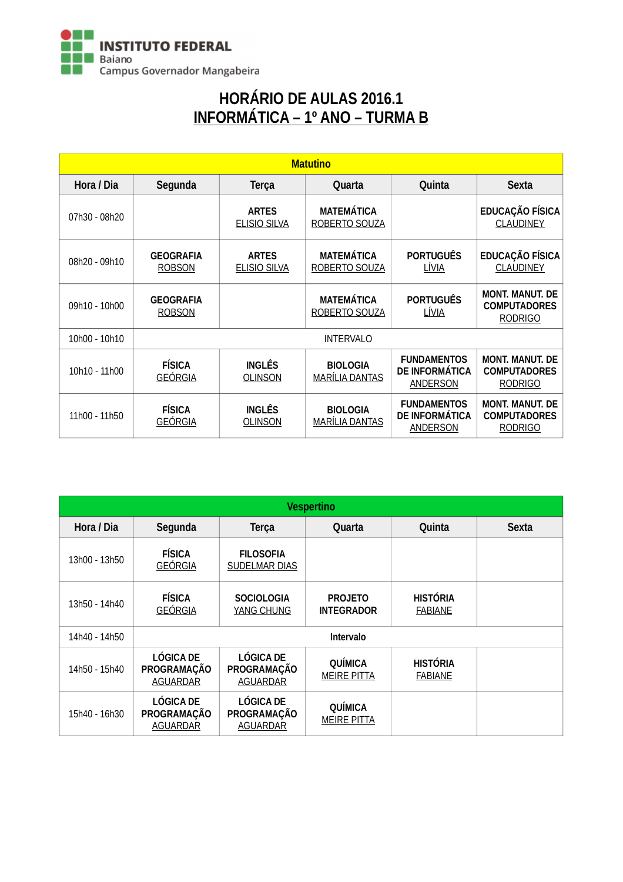

### HORÁRIO DE AULAS 2016.1 INFORMÁTICA – 1º ANO – TURMA B

| <b>Matutino</b> |                                   |                                     |                                                                                                                                                                                                                                                                                                             |                           |                                                                 |  |  |
|-----------------|-----------------------------------|-------------------------------------|-------------------------------------------------------------------------------------------------------------------------------------------------------------------------------------------------------------------------------------------------------------------------------------------------------------|---------------------------|-----------------------------------------------------------------|--|--|
| Hora / Dia      | Segunda                           | <b>Terça</b>                        | Quarta                                                                                                                                                                                                                                                                                                      | Quinta                    | <b>Sexta</b>                                                    |  |  |
| 07h30 - 08h20   |                                   | <b>ARTES</b><br><b>ELISIO SILVA</b> | <b>MATEMÁTICA</b><br>ROBERTO SOUZA                                                                                                                                                                                                                                                                          |                           | EDUCAÇÃO FÍSICA<br><b>CLAUDINEY</b>                             |  |  |
| 08h20 - 09h10   | <b>GEOGRAFIA</b><br><b>ROBSON</b> | <b>ARTES</b><br><b>ELISIO SILVA</b> | <b>MATEMÁTICA</b><br>ROBERTO SOUZA                                                                                                                                                                                                                                                                          | <b>PORTUGUÊS</b><br>LÍVIA | <b>EDUCAÇÃO FÍSICA</b><br><b>CLAUDINEY</b>                      |  |  |
| 09h10 - 10h00   | <b>GEOGRAFIA</b><br><b>ROBSON</b> |                                     | <b>MATEMÁTICA</b><br>ROBERTO SOUZA                                                                                                                                                                                                                                                                          | <b>PORTUGUÊS</b><br>LÍVIA | <b>MONT. MANUT. DE</b><br><b>COMPUTADORES</b><br><b>RODRIGO</b> |  |  |
| 10h00 - 10h10   |                                   |                                     | <b>INTERVALO</b><br><b>FUNDAMENTOS</b><br><b>INGLÊS</b><br><b>BIOLOGIA</b><br><b>DE INFORMÁTICA</b><br><b>MARÍLIA DANTAS</b><br><b>OLINSON</b><br><b>ANDERSON</b><br><b>FUNDAMENTOS</b><br><b>INGLÊS</b><br><b>BIOLOGIA</b><br><b>DE INFORMATICA</b><br><b>MARILIA DANTAS</b><br>OLINSON<br><b>ANDERSON</b> |                           |                                                                 |  |  |
| 10h10 - 11h00   | <b>FÍSICA</b><br><b>GEÓRGIA</b>   |                                     |                                                                                                                                                                                                                                                                                                             |                           | <b>MONT. MANUT. DE</b><br><b>COMPUTADORES</b><br><b>RODRIGO</b> |  |  |
| 11h00 - 11h50   | <b>FÍSICA</b><br><b>GEÓRGIA</b>   |                                     |                                                                                                                                                                                                                                                                                                             |                           | <b>MONT. MANUT. DE</b><br><b>COMPUTADORES</b><br><b>RODRIGO</b> |  |  |

| <b>Vespertino</b> |                                                    |                                                    |                                      |                                   |              |  |  |
|-------------------|----------------------------------------------------|----------------------------------------------------|--------------------------------------|-----------------------------------|--------------|--|--|
| Hora / Dia        | Segunda                                            | <b>Terça</b>                                       | Quarta                               | Quinta                            | <b>Sexta</b> |  |  |
| 13h00 - 13h50     | <b>FÍSICA</b><br><b>GEÓRGIA</b>                    | <b>FILOSOFIA</b><br>SUDELMAR DIAS                  |                                      |                                   |              |  |  |
| 13h50 - 14h40     | <b>FÍSICA</b><br><b>GEÓRGIA</b>                    | <b>SOCIOLOGIA</b><br>YANG CHUNG                    | <b>PROJETO</b><br><b>INTEGRADOR</b>  | <b>HISTÓRIA</b><br><b>FABIANE</b> |              |  |  |
| 14h40 - 14h50     |                                                    |                                                    | Intervalo                            |                                   |              |  |  |
| 14h50 - 15h40     | <b>LÓGICA DE</b><br>PROGRAMAÇÃO<br><b>AGUARDAR</b> | <b>LÓGICA DE</b><br>PROGRAMAÇÃO<br><b>AGUARDAR</b> | <b>QUÍMICA</b><br><b>MEIRE PITTA</b> | <b>HISTÓRIA</b><br><b>FABIANE</b> |              |  |  |
| 15h40 - 16h30     | <b>LÓGICA DE</b><br>PROGRAMAÇÃO<br><b>AGUARDAR</b> | <b>LÓGICA DE</b><br>PROGRAMAÇÃO<br><b>AGUARDAR</b> | <b>QUÍMICA</b><br><b>MEIRE PITTA</b> |                                   |              |  |  |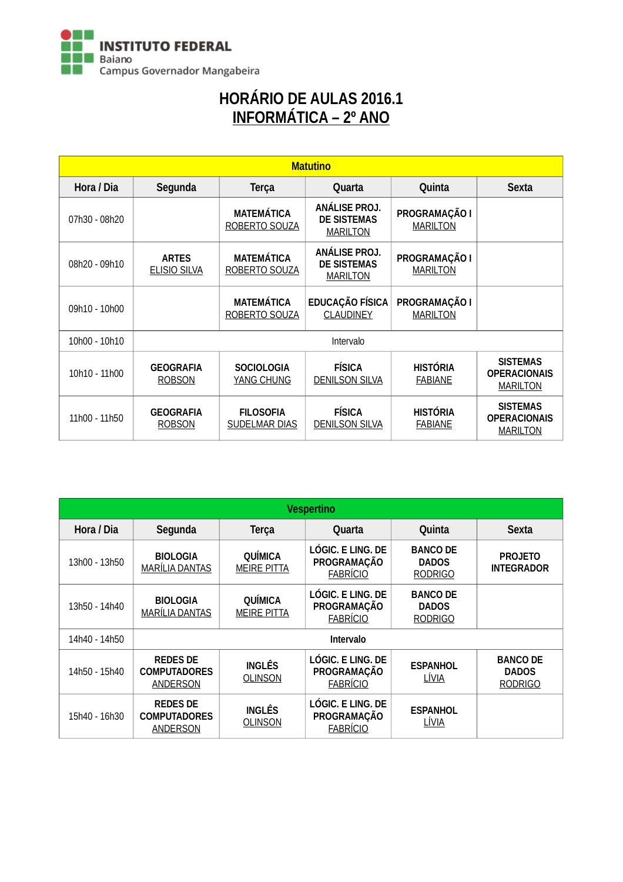

# HORÁRIO DE AULAS 2016.1 INFORMÁTICA – 2º ANO

| <b>Matutino</b> |                                     |                                          |                                                        |                                   |                                                           |  |
|-----------------|-------------------------------------|------------------------------------------|--------------------------------------------------------|-----------------------------------|-----------------------------------------------------------|--|
| Hora / Dia      | Segunda                             | <b>Terça</b>                             | Quarta                                                 | Quinta                            | <b>Sexta</b>                                              |  |
| 07h30 - 08h20   |                                     | <b>MATEMÁTICA</b><br>ROBERTO SOUZA       | ANÁLISE PROJ.<br><b>DE SISTEMAS</b><br><b>MARILTON</b> | PROGRAMAÇÃO I<br><b>MARILTON</b>  |                                                           |  |
| 08h20 - 09h10   | <b>ARTES</b><br><b>ELISIO SILVA</b> | <b>MATEMÁTICA</b><br>ROBERTO SOUZA       | ANÁLISE PROJ.<br><b>DE SISTEMAS</b><br><b>MARILTON</b> | PROGRAMAÇÃO I<br><b>MARILTON</b>  |                                                           |  |
| 09h10 - 10h00   |                                     | <b>MATEMÁTICA</b><br>ROBERTO SOUZA       | EDUCAÇÃO FÍSICA<br><b>CLAUDINEY</b>                    | PROGRAMAÇÃO I<br><b>MARILTON</b>  |                                                           |  |
| 10h00 - 10h10   |                                     |                                          | Intervalo                                              |                                   |                                                           |  |
| 10h10 - 11h00   | <b>GEOGRAFIA</b><br><b>ROBSON</b>   | <b>SOCIOLOGIA</b><br><b>YANG CHUNG</b>   | <b>FÍSICA</b><br><b>DENILSON SILVA</b>                 | <b>HISTÓRIA</b><br><b>FABIANE</b> | <b>SISTEMAS</b><br><b>OPERACIONAIS</b><br><b>MARILTON</b> |  |
| 11h00 - 11h50   | <b>GEOGRAFIA</b><br><b>ROBSON</b>   | <b>FILOSOFIA</b><br><b>SUDELMAR DIAS</b> | <b>FÍSICA</b><br><b>DENILSON SILVA</b>                 | <b>HISTÓRIA</b><br><b>FABIANE</b> | <b>SISTEMAS</b><br><b>OPERACIONAIS</b><br><b>MARILTON</b> |  |

| <b>Vespertino</b> |                                                           |                                      |                                                                   |                                                   |                                                   |  |  |  |
|-------------------|-----------------------------------------------------------|--------------------------------------|-------------------------------------------------------------------|---------------------------------------------------|---------------------------------------------------|--|--|--|
| Hora / Dia        | Segunda                                                   | <b>Terça</b>                         | Quarta                                                            | Quinta                                            | <b>Sexta</b>                                      |  |  |  |
| 13h00 - 13h50     | <b>BIOLOGIA</b><br><b>MARÍLIA DANTAS</b>                  | <b>QUÍMICA</b><br><b>MEIRE PITTA</b> | <b>LÓGIC. E LING. DE</b><br>PROGRAMAÇÃO<br><b>FABRÍCIO</b>        | <b>BANCO DE</b><br><b>DADOS</b><br><b>RODRIGO</b> | <b>PROJETO</b><br><b>INTEGRADOR</b>               |  |  |  |
| 13h50 - 14h40     | <b>BIOLOGIA</b><br>MARÍLIA DANTAS                         | QUÍMICA<br><b>MEIRE PITTA</b>        | LÓGIC. E LING. DE<br>PROGRAMAÇÃO<br><b>FABRÍCIO</b>               | <b>BANCO DE</b><br><b>DADOS</b><br><b>RODRIGO</b> |                                                   |  |  |  |
| 14h40 - 14h50     |                                                           |                                      | <b>Intervalo</b>                                                  |                                                   |                                                   |  |  |  |
| 14h50 - 15h40     | <b>REDES DE</b><br><b>COMPUTADORES</b><br><b>ANDERSON</b> | <b>INGLÊS</b><br><b>OLINSON</b>      | LÓGIC. E LING. DE<br><b>PROGRAMAÇÃO</b><br><b>FABRÍCIO</b>        | <b>ESPANHOL</b><br><u>LÍVIA</u>                   | <b>BANCO DE</b><br><b>DADOS</b><br><b>RODRIGO</b> |  |  |  |
| 15h40 - 16h30     | <b>REDES DE</b><br><b>COMPUTADORES</b><br><b>ANDERSON</b> | <b>INGLÊS</b><br><b>OLINSON</b>      | <b>LÓGIC. E LING. DE</b><br><b>PROGRAMAÇÃO</b><br><b>FABRÍCIO</b> | <b>ESPANHOL</b><br><u>LÍVIA</u>                   |                                                   |  |  |  |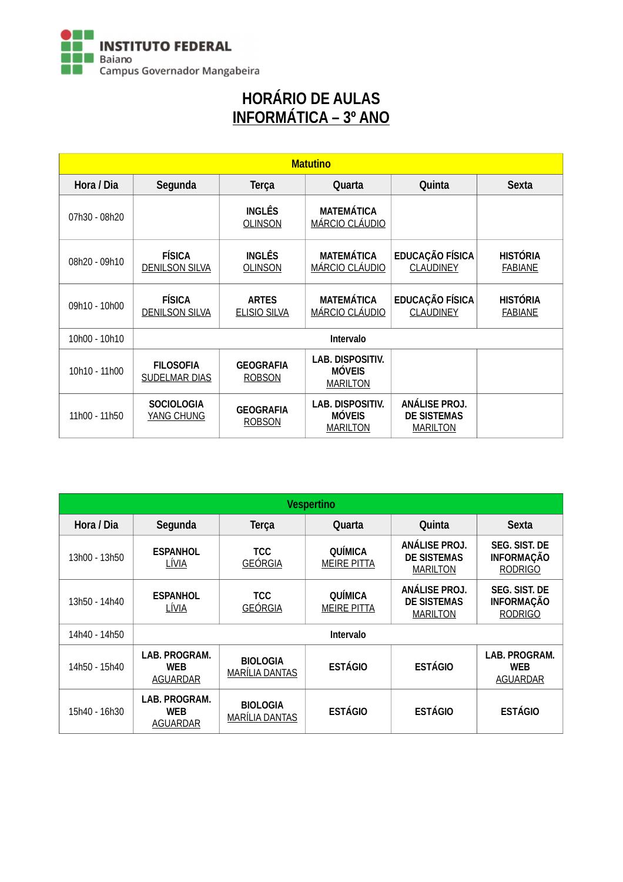

# HORÁRIO DE AULAS INFORMÁTICA – 3º ANO

| <b>Matutino</b> |                                          |                                     |                                                             |                                                        |                                   |  |  |
|-----------------|------------------------------------------|-------------------------------------|-------------------------------------------------------------|--------------------------------------------------------|-----------------------------------|--|--|
| Hora / Dia      | Segunda                                  | <b>Terça</b>                        | Quarta                                                      | Quinta                                                 | <b>Sexta</b>                      |  |  |
| 07h30 - 08h20   |                                          | <b>INGLÊS</b><br><b>OLINSON</b>     | <b>MATEMÁTICA</b><br>MÁRCIO CLÁUDIO                         |                                                        |                                   |  |  |
| 08h20 - 09h10   | <b>FÍSICA</b><br><b>DENILSON SILVA</b>   | <b>INGLÊS</b><br><b>OLINSON</b>     | <b>MATEMÁTICA</b><br>MÁRCIO CLÁUDIO                         | EDUCAÇÃO FÍSICA<br><b>CLAUDINEY</b>                    | <b>HISTÓRIA</b><br><b>FABIANE</b> |  |  |
| 09h10 - 10h00   | <b>FÍSICA</b><br><b>DENILSON SILVA</b>   | <b>ARTES</b><br><b>ELISIO SILVA</b> | <b>MATEMÁTICA</b><br>MÁRCIO CLÁUDIO                         | <b>EDUCAÇÃO FÍSICA</b><br><b>CLAUDINEY</b>             | <b>HISTÓRIA</b><br><b>FABIANE</b> |  |  |
| 10h00 - 10h10   |                                          |                                     | Intervalo                                                   |                                                        |                                   |  |  |
| 10h10 - 11h00   | <b>FILOSOFIA</b><br><b>SUDELMAR DIAS</b> | <b>GEOGRAFIA</b><br><b>ROBSON</b>   | <b>LAB. DISPOSITIV.</b><br><b>MÓVEIS</b><br><b>MARILTON</b> |                                                        |                                   |  |  |
| 11h00 - 11h50   | <b>SOCIOLOGIA</b><br>YANG CHUNG          | <b>GEOGRAFIA</b><br><b>ROBSON</b>   | <b>LAB. DISPOSITIV.</b><br><b>MÓVEIS</b><br><b>MARILTON</b> | ANÁLISE PROJ.<br><b>DE SISTEMAS</b><br><b>MARILTON</b> |                                   |  |  |

| <b>Vespertino</b> |                                                |                                          |                               |                                                        |                                                             |  |  |
|-------------------|------------------------------------------------|------------------------------------------|-------------------------------|--------------------------------------------------------|-------------------------------------------------------------|--|--|
| Hora / Dia        | Segunda                                        | <b>Terça</b>                             | Quarta                        | Quinta                                                 | <b>Sexta</b>                                                |  |  |
| 13h00 - 13h50     | <b>ESPANHOL</b><br>LÍVIA                       | <b>TCC</b><br><b>GEÓRGIA</b>             | QUÍMICA<br><b>MEIRE PITTA</b> | ANALISE PROJ.<br><b>DE SISTEMAS</b><br><b>MARILTON</b> | <b>SEG. SIST. DE</b><br><b>INFORMAÇÃO</b><br><b>RODRIGO</b> |  |  |
| 13h50 - 14h40     | <b>ESPANHOL</b><br>LÍVIA                       | <b>TCC</b><br><b>GEÓRGIA</b>             | QUÍMICA<br><b>MEIRE PITTA</b> | ANÁLISE PROJ.<br><b>DE SISTEMAS</b><br><b>MARILTON</b> | <b>SEG. SIST. DE</b><br><b>INFORMAÇÃO</b><br><b>RODRIGO</b> |  |  |
| 14h40 - 14h50     |                                                |                                          | Intervalo                     |                                                        |                                                             |  |  |
| 14h50 - 15h40     | LAB. PROGRAM.<br><b>WEB</b><br><b>AGUARDAR</b> | <b>BIOLOGIA</b><br><b>MARÍLIA DANTAS</b> | <b>ESTÁGIO</b>                | <b>ESTÁGIO</b>                                         | LAB. PROGRAM.<br><b>WEB</b><br><b>AGUARDAR</b>              |  |  |
| 15h40 - 16h30     | LAB. PROGRAM.<br><b>WEB</b><br><b>AGUARDAR</b> | <b>BIOLOGIA</b><br>MARÍLIA DANTAS        | <b>ESTÁGIO</b>                | <b>ESTÁGIO</b>                                         | <b>ESTÁGIO</b>                                              |  |  |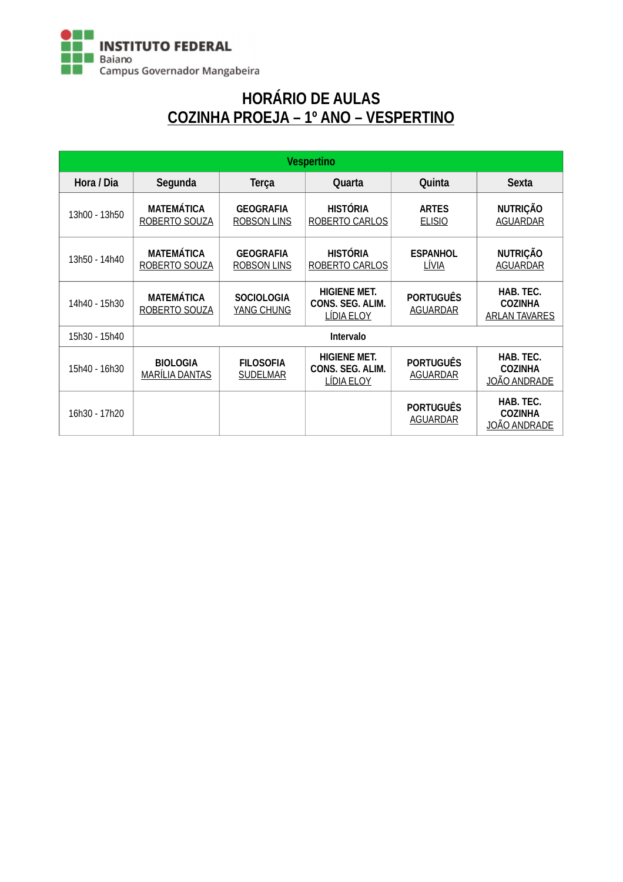

# HORÁRIO DE AULAS COZINHA PROEJA – 1º ANO – VESPERTINO

| <b>Vespertino</b> |                                          |                                        |                                                       |                                     |                                                     |  |  |
|-------------------|------------------------------------------|----------------------------------------|-------------------------------------------------------|-------------------------------------|-----------------------------------------------------|--|--|
| Hora / Dia        | Segunda                                  | <b>Terça</b>                           | Quarta                                                | Quinta                              | <b>Sexta</b>                                        |  |  |
| 13h00 - 13h50     | <b>MATEMÁTICA</b><br>ROBERTO SOUZA       | <b>GEOGRAFIA</b><br><b>ROBSON LINS</b> | <b>HISTÓRIA</b><br>ROBERTO CARLOS                     | <b>ARTES</b><br><b>ELISIO</b>       | <b>NUTRIÇÃO</b><br><b>AGUARDAR</b>                  |  |  |
| 13h50 - 14h40     | <b>MATEMÁTICA</b><br>ROBERTO SOUZA       | <b>GEOGRAFIA</b><br>ROBSON LINS        | <b>HISTÓRIA</b><br>ROBERTO CARLOS                     | <b>ESPANHOL</b><br>LÍVIA            | <b>NUTRIÇÃO</b><br><b>AGUARDAR</b>                  |  |  |
| 14h40 - 15h30     | <b>MATEMÁTICA</b><br>ROBERTO SOUZA       | <b>SOCIOLOGIA</b><br><b>YANG CHUNG</b> | <b>HIGIENE MET.</b><br>CONS. SEG. ALIM.<br>LIDIA ELOY | <b>PORTUGUÊS</b><br><b>AGUARDAR</b> | HAB. TEC.<br><b>COZINHA</b><br><b>ARLAN TAVARES</b> |  |  |
| 15h30 - 15h40     |                                          |                                        | <b>Intervalo</b>                                      |                                     |                                                     |  |  |
| 15h40 - 16h30     | <b>BIOLOGIA</b><br><b>MARÍLIA DANTAS</b> | <b>FILOSOFIA</b><br><b>SUDELMAR</b>    | <b>HIGIENE MET.</b><br>CONS. SEG. ALIM.<br>LÍDIA ELOY | <b>PORTUGUÊS</b><br><b>AGUARDAR</b> | HAB. TEC.<br><b>COZINHA</b><br><u>JOÃO ANDRADE</u>  |  |  |
| 16h30 - 17h20     |                                          |                                        |                                                       | <b>PORTUGUÊS</b><br><b>AGUARDAR</b> | HAB. TEC.<br><b>COZINHA</b><br><b>JOÃO ANDRADE</b>  |  |  |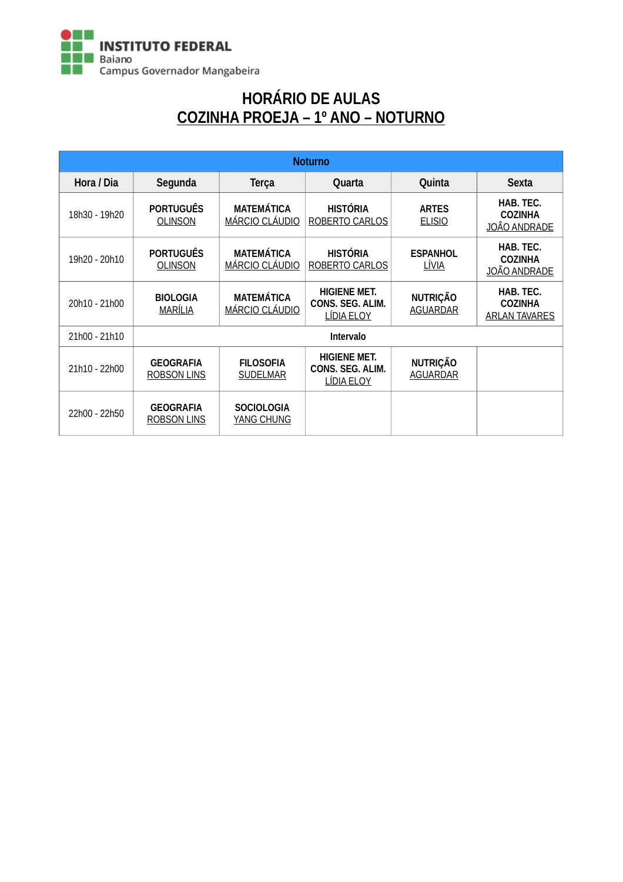

### HORÁRIO DE AULAS COZINHA PROEJA – 1º ANO – NOTURNO

| <b>Noturno</b> |                                        |                                            |                                                              |                                    |                                                     |  |  |
|----------------|----------------------------------------|--------------------------------------------|--------------------------------------------------------------|------------------------------------|-----------------------------------------------------|--|--|
| Hora / Dia     | Segunda                                | <b>Terça</b>                               | Quarta                                                       | Quinta                             | <b>Sexta</b>                                        |  |  |
| 18h30 - 19h20  | <b>PORTUGUÊS</b><br><b>OLINSON</b>     | <b>MATEMÁTICA</b><br><b>MÁRCIO CLÁUDIO</b> | <b>HISTÓRIA</b><br>ROBERTO CARLOS                            | <b>ARTES</b><br><b>ELISIO</b>      | HAB. TEC.<br><b>COZINHA</b><br><u>JOÃO ANDRADE</u>  |  |  |
| 19h20 - 20h10  | <b>PORTUGUÊS</b><br><b>OLINSON</b>     | <b>MATEMÁTICA</b><br>MÁRCIO CLÁUDIO        | <b>HISTÓRIA</b><br>ROBERTO CARLOS                            | <b>ESPANHOL</b><br>LÍVIA           | HAB. TEC.<br><b>COZINHA</b><br>JOÃO ANDRADE         |  |  |
| 20h10 - 21h00  | <b>BIOLOGIA</b><br>MARÍLIA             | <b>MATEMÁTICA</b><br>MÁRCIO CLÁUDIO        | <b>HIGIENE MET.</b><br>CONS. SEG. ALIM.<br><b>LÍDIA ELOY</b> | <b>NUTRIÇÃO</b><br><b>AGUARDAR</b> | HAB. TEC.<br><b>COZINHA</b><br><b>ARLAN TAVARES</b> |  |  |
| 21h00 - 21h10  |                                        |                                            | <b>Intervalo</b>                                             |                                    |                                                     |  |  |
| 21h10 - 22h00  | <b>GEOGRAFIA</b><br><b>ROBSON LINS</b> | <b>FILOSOFIA</b><br><b>SUDELMAR</b>        | <b>HIGIENE MET.</b><br>CONS. SEG. ALIM.<br>LÍDIA ELOY        | <b>NUTRIÇÃO</b><br><b>AGUARDAR</b> |                                                     |  |  |
| 22h00 - 22h50  | <b>GEOGRAFIA</b><br>ROBSON LINS        | <b>SOCIOLOGIA</b><br>YANG CHUNG            |                                                              |                                    |                                                     |  |  |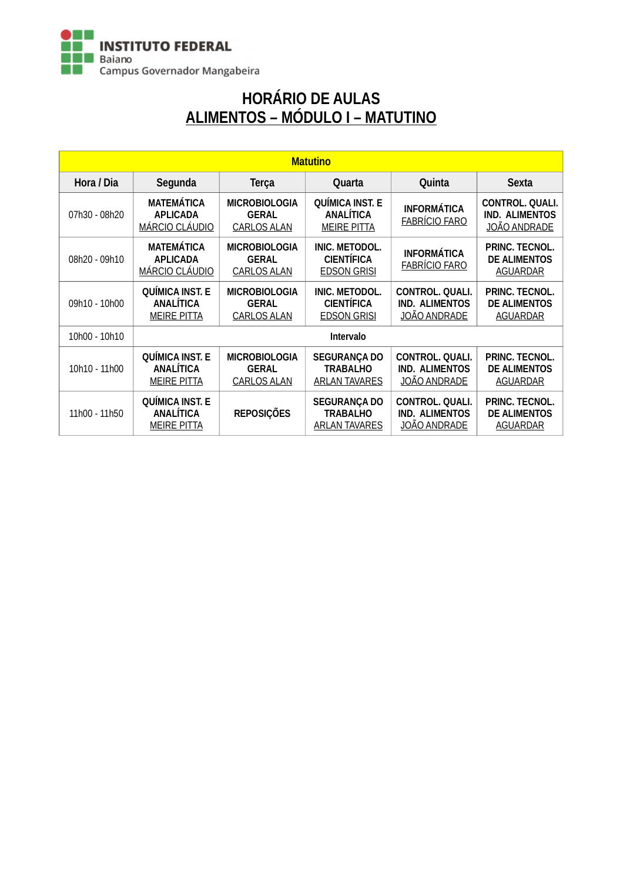

# HORÁRIO DE AULAS ALIMENTOS – MÓDULO I – MATUTINO

| <b>Matutino</b> |                                                                  |                                                            |                                                                  |                                                                        |                                                                 |
|-----------------|------------------------------------------------------------------|------------------------------------------------------------|------------------------------------------------------------------|------------------------------------------------------------------------|-----------------------------------------------------------------|
| Hora / Dia      | Segunda                                                          | <b>Terça</b>                                               | Quarta                                                           | Quinta                                                                 | <b>Sexta</b>                                                    |
| 07h30 - 08h20   | <b>MATEMÁTICA</b><br><b>APLICADA</b><br><b>MÁRCIO CLÁUDIO</b>    | <b>MICROBIOLOGIA</b><br><b>GERAL</b><br><b>CARLOS ALAN</b> | <b>QUÍMICA INST. E</b><br><b>ANALÍTICA</b><br><b>MEIRE PITTA</b> | <b>INFORMÁTICA</b><br><b>FABRÍCIO FARO</b>                             | <b>CONTROL. QUALI.</b><br><b>IND. ALIMENTOS</b><br>JOÃO ANDRADE |
| 08h20 - 09h10   | <b>MATEMÁTICA</b><br><b>APLICADA</b><br>MÁRCIO CLÁUDIO           | <b>MICROBIOLOGIA</b><br><b>GERAL</b><br>CARLOS ALAN        | <b>INIC. METODOL.</b><br><b>CIENTÍFICA</b><br><b>EDSON GRISI</b> | <b>INFORMÁTICA</b><br><b>FABRÍCIO FARO</b>                             | PRINC. TECNOL.<br><b>DE ALIMENTOS</b><br><b>AGUARDAR</b>        |
| 09h10 - 10h00   | <b>QUÍMICA INST. E</b><br><b>ANALÍTICA</b><br><b>MEIRE PITTA</b> | <b>MICROBIOLOGIA</b><br><b>GERAL</b><br><b>CARLOS ALAN</b> | INIC. METODOL.<br><b>CIENTÍFICA</b><br><b>EDSON GRISI</b>        | CONTROL. QUALI.<br><b>IND. ALIMENTOS</b><br><u>JOÃO ANDRADE</u>        | PRINC. TECNOL.<br><b>DE ALIMENTOS</b><br><b>AGUARDAR</b>        |
| 10h00 - 10h10   |                                                                  |                                                            | <b>Intervalo</b>                                                 |                                                                        |                                                                 |
| 10h10 - 11h00   | <b>QUÍMICA INST. E</b><br><b>ANALÍTICA</b><br><b>MEIRE PITTA</b> | <b>MICROBIOLOGIA</b><br><b>GERAL</b><br><b>CARLOS ALAN</b> | <b>SEGURANÇA DO</b><br><b>TRABALHO</b><br><b>ARLAN TAVARES</b>   | <b>CONTROL. QUALI.</b><br><b>IND. ALIMENTOS</b><br><b>JOÃO ANDRADE</b> | PRINC. TECNOL.<br><b>DE ALIMENTOS</b><br><b>AGUARDAR</b>        |
| 11h00 - 11h50   | <b>QUÍMICA INST. E</b><br><b>ANALÍTICA</b><br><b>MEIRE PITTA</b> | <b>REPOSIÇÕES</b>                                          | <b>SEGURANÇA DO</b><br><b>TRABALHO</b><br><b>ARLAN TAVARES</b>   | <b>CONTROL. QUALI.</b><br><b>IND. ALIMENTOS</b><br><b>JOÃO ANDRADE</b> | PRINC. TECNOL.<br><b>DE ALIMENTOS</b><br><b>AGUARDAR</b>        |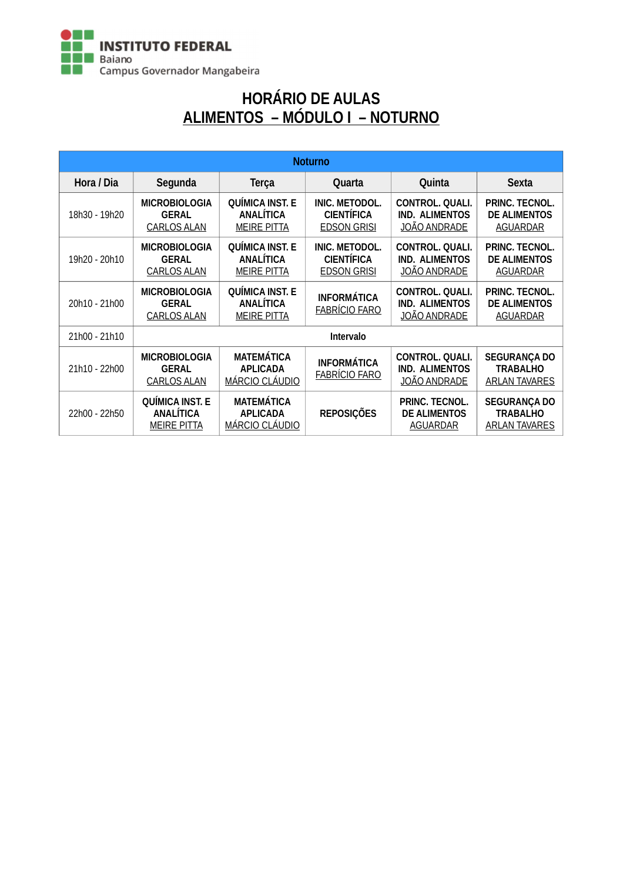

# HORÁRIO DE AULAS ALIMENTOS – MÓDULO I – NOTURNO

| <b>Noturno</b> |                                                                  |                                                                  |                                                           |                                                                        |                                                                |
|----------------|------------------------------------------------------------------|------------------------------------------------------------------|-----------------------------------------------------------|------------------------------------------------------------------------|----------------------------------------------------------------|
| Hora / Dia     | Segunda                                                          | <b>Terça</b>                                                     | Quarta                                                    | Quinta                                                                 | <b>Sexta</b>                                                   |
| 18h30 - 19h20  | <b>MICROBIOLOGIA</b><br><b>GERAL</b><br><b>CARLOS ALAN</b>       | <b>QUÍMICA INST. E</b><br><b>ANALÍTICA</b><br><b>MEIRE PITTA</b> | INIC. METODOL.<br><b>CIENTÍFICA</b><br><b>EDSON GRISI</b> | CONTROL. QUALI.<br><b>IND. ALIMENTOS</b><br><b>JOÃO ANDRADE</b>        | PRINC. TECNOL.<br><b>DE ALIMENTOS</b><br><b>AGUARDAR</b>       |
| 19h20 - 20h10  | <b>MICROBIOLOGIA</b><br><b>GERAL</b><br>CARLOS ALAN              | <b>QUÍMICA INST. E</b><br><b>ANALÍTICA</b><br><b>MEIRE PITTA</b> | INIC. METODOL.<br><b>CIENTÍFICA</b><br><b>EDSON GRISI</b> | <b>CONTROL. QUALI.</b><br><b>IND. ALIMENTOS</b><br>JOÃO ANDRADE        | PRINC. TECNOL.<br><b>DE ALIMENTOS</b><br><b>AGUARDAR</b>       |
| 20h10 - 21h00  | <b>MICROBIOLOGIA</b><br><b>GERAL</b><br><b>CARLOS ALAN</b>       | <b>QUÍMICA INST. E</b><br><b>ANALÍTICA</b><br><b>MEIRE PITTA</b> | <b>INFORMÁTICA</b><br><b>FABRÍCIO FARO</b>                | <b>CONTROL. QUALI.</b><br><b>IND. ALIMENTOS</b><br><b>JOÃO ANDRADE</b> | PRINC. TECNOL.<br><b>DE ALIMENTOS</b><br><b>AGUARDAR</b>       |
| 21h00 - 21h10  | Intervalo                                                        |                                                                  |                                                           |                                                                        |                                                                |
| 21h10 - 22h00  | <b>MICROBIOLOGIA</b><br><b>GERAL</b><br><b>CARLOS ALAN</b>       | <b>MATEMÁTICA</b><br><b>APLICADA</b><br><b>MÁRCIO CLÁUDIO</b>    | <b>INFORMÁTICA</b><br><b>FABRÍCIO FARO</b>                | <b>CONTROL. QUALI.</b><br><b>IND. ALIMENTOS</b><br><b>JOÃO ANDRADE</b> | <b>SEGURANÇA DO</b><br><b>TRABALHO</b><br><b>ARLAN TAVARES</b> |
| 22h00 - 22h50  | <b>QUÍMICA INST. E</b><br><b>ANALÍTICA</b><br><b>MEIRE PITTA</b> | <b>MATEMÁTICA</b><br><b>APLICADA</b><br><b>MÁRCIO CLÁUDIO</b>    | <b>REPOSIÇÕES</b>                                         | PRINC. TECNOL.<br><b>DE ALIMENTOS</b><br><b>AGUARDAR</b>               | <b>SEGURANÇA DO</b><br><b>TRABALHO</b><br><b>ARLAN TAVARES</b> |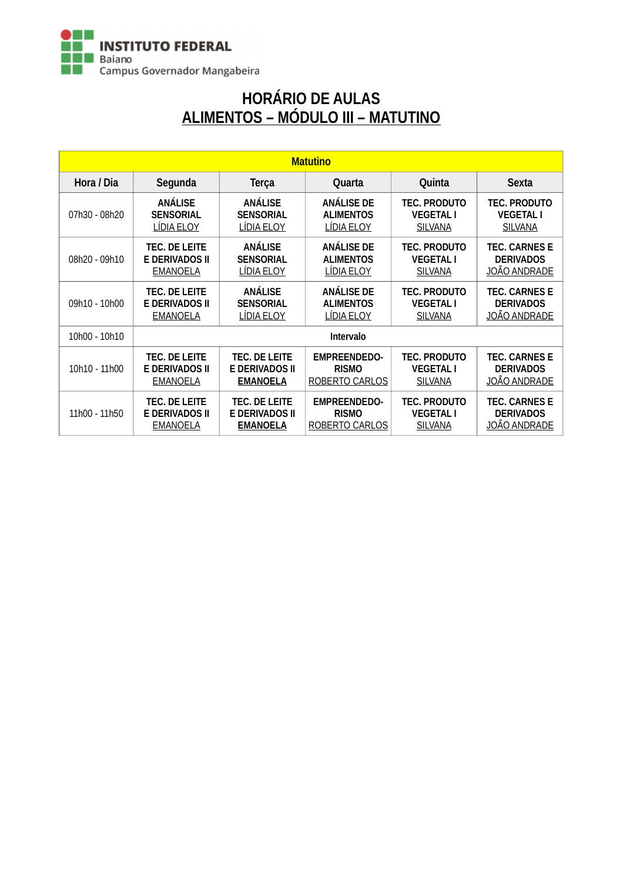

# HORÁRIO DE AULAS ALIMENTOS – MÓDULO III – MATUTINO

| <b>Matutino</b> |                       |                       |                     |                     |                      |  |
|-----------------|-----------------------|-----------------------|---------------------|---------------------|----------------------|--|
| Hora / Dia      | Segunda               | <b>Terça</b>          | Quarta              | Quinta              | <b>Sexta</b>         |  |
| 07h30 - 08h20   | <b>ANALISE</b>        | <b>ANÁLISE</b>        | <b>ANALISE DE</b>   | <b>TEC. PRODUTO</b> | <b>TEC. PRODUTO</b>  |  |
|                 | <b>SENSORIAL</b>      | <b>SENSORIAL</b>      | <b>ALIMENTOS</b>    | <b>VEGETAL I</b>    | <b>VEGETAL I</b>     |  |
|                 | LÍDIA ELOY            | LÍDIA ELOY            | LIDIA ELOY          | <b>SILVANA</b>      | <b>SILVANA</b>       |  |
| 08h20 - 09h10   | <b>TEC. DE LEITE</b>  | <b>ANÁLISE</b>        | <b>ANALISE DE</b>   | <b>TEC. PRODUTO</b> | <b>TEC. CARNES E</b> |  |
|                 | <b>E DERIVADOS II</b> | <b>SENSORIAL</b>      | <b>ALIMENTOS</b>    | <b>VEGETAL I</b>    | <b>DERIVADOS</b>     |  |
|                 | <b>EMANOELA</b>       | LÍDIA ELOY            | LÍDIA ELOY          | <b>SILVANA</b>      | JOÃO ANDRADE         |  |
| 09h10 - 10h00   | <b>TEC. DE LEITE</b>  | <b>ANÁLISE</b>        | <b>ANALISE DE</b>   | <b>TEC. PRODUTO</b> | <b>TEC. CARNES E</b> |  |
|                 | <b>E DERIVADOS II</b> | <b>SENSORIAL</b>      | <b>ALIMENTOS</b>    | <b>VEGETAL I</b>    | <b>DERIVADOS</b>     |  |
|                 | <b>EMANOELA</b>       | <b>LÍDIA ELOY</b>     | <b>LÍDIA ELOY</b>   | <b>SILVANA</b>      | <b>JOÃO ANDRADE</b>  |  |
| 10h00 - 10h10   | <b>Intervalo</b>      |                       |                     |                     |                      |  |
| 10h10 - 11h00   | <b>TEC. DE LEITE</b>  | TEC. DE LEITE         | <b>EMPREENDEDO-</b> | <b>TEC. PRODUTO</b> | <b>TEC. CARNES E</b> |  |
|                 | <b>E DERIVADOS II</b> | <b>E DERIVADOS II</b> | <b>RISMO</b>        | <b>VEGETAL I</b>    | <b>DERIVADOS</b>     |  |
|                 | <b>EMANOELA</b>       | <b>EMANOELA</b>       | ROBERTO CARLOS      | <b>SILVANA</b>      | <b>JOÃO ANDRADE</b>  |  |
| 11h00 - 11h50   | <b>TEC. DE LEITE</b>  | <b>TEC. DE LEITE</b>  | <b>EMPREENDEDO-</b> | <b>TEC. PRODUTO</b> | <b>TEC. CARNES E</b> |  |
|                 | E DERIVADOS II        | E DERIVADOS II        | <b>RISMO</b>        | <b>VEGETAL I</b>    | <b>DERIVADOS</b>     |  |
|                 | <b>EMANOELA</b>       | <b>EMANOELA</b>       | ROBERTO CARLOS      | <b>SILVANA</b>      | <u>JOÃO ANDRADE</u>  |  |